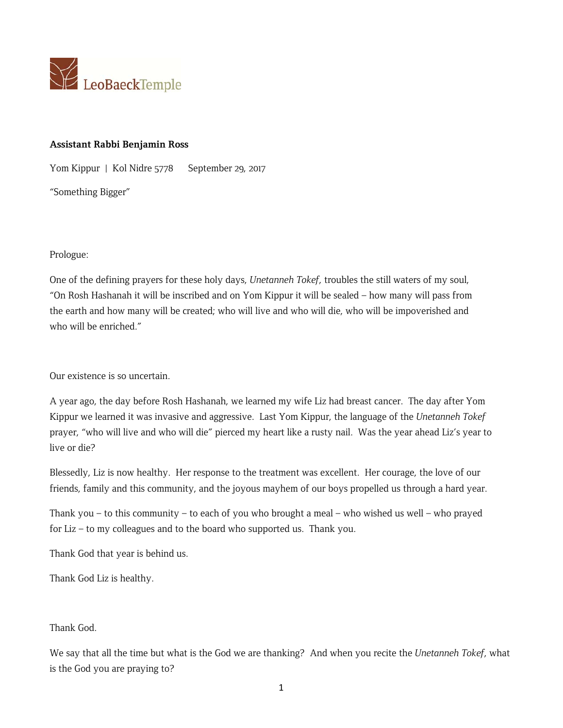

### **Assistant Rabbi Benjamin Ross**

Yom Kippur | Kol Nidre 5778 September 29, 2017

"Something Bigger"

Prologue:

One of the defining prayers for these holy days, *Unetanneh Tokef*, troubles the still waters of my soul, "On Rosh Hashanah it will be inscribed and on Yom Kippur it will be sealed – how many will pass from the earth and how many will be created; who will live and who will die, who will be impoverished and who will be enriched."

Our existence is so uncertain.

A year ago, the day before Rosh Hashanah, we learned my wife Liz had breast cancer. The day after Yom Kippur we learned it was invasive and aggressive. Last Yom Kippur, the language of the *Unetanneh Tokef* prayer, "who will live and who will die" pierced my heart like a rusty nail. Was the year ahead Liz's year to live or die?

Blessedly, Liz is now healthy. Her response to the treatment was excellent. Her courage, the love of our friends, family and this community, and the joyous mayhem of our boys propelled us through a hard year.

Thank you – to this community – to each of you who brought a meal – who wished us well – who prayed for Liz – to my colleagues and to the board who supported us. Thank you.

Thank God that year is behind us.

Thank God Liz is healthy.

## Thank God.

We say that all the time but what is the God we are thanking? And when you recite the *Unetanneh Tokef*, what is the God you are praying to?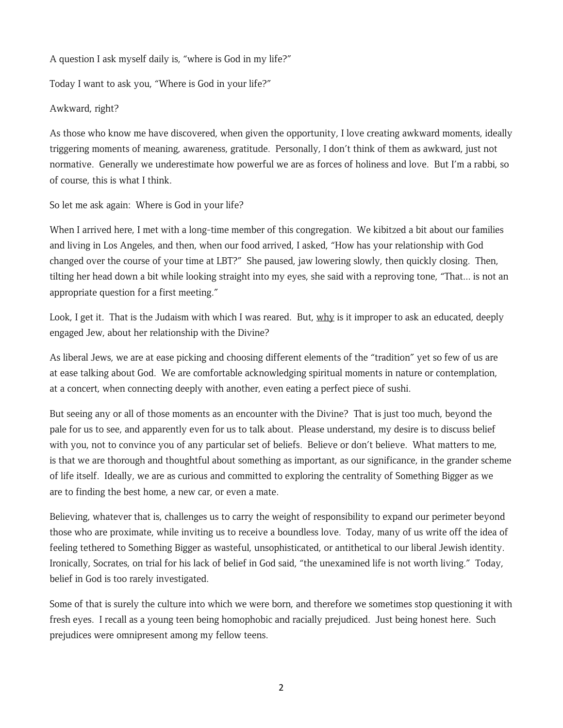A question I ask myself daily is, "where is God in my life?"

Today I want to ask you, "Where is God in your life?"

#### Awkward, right?

As those who know me have discovered, when given the opportunity, I love creating awkward moments, ideally triggering moments of meaning, awareness, gratitude. Personally, I don't think of them as awkward, just not normative. Generally we underestimate how powerful we are as forces of holiness and love. But I'm a rabbi, so of course, this is what I think.

So let me ask again: Where is God in your life?

When I arrived here, I met with a long-time member of this congregation. We kibitzed a bit about our families and living in Los Angeles, and then, when our food arrived, I asked, "How has your relationship with God changed over the course of your time at LBT?" She paused, jaw lowering slowly, then quickly closing. Then, tilting her head down a bit while looking straight into my eyes, she said with a reproving tone, "That... is not an appropriate question for a first meeting."

Look, I get it. That is the Judaism with which I was reared. But, why is it improper to ask an educated, deeply engaged Jew, about her relationship with the Divine?

As liberal Jews, we are at ease picking and choosing different elements of the "tradition" yet so few of us are at ease talking about God. We are comfortable acknowledging spiritual moments in nature or contemplation, at a concert, when connecting deeply with another, even eating a perfect piece of sushi.

But seeing any or all of those moments as an encounter with the Divine? That is just too much, beyond the pale for us to see, and apparently even for us to talk about. Please understand, my desire is to discuss belief with you, not to convince you of any particular set of beliefs. Believe or don't believe. What matters to me, is that we are thorough and thoughtful about something as important, as our significance, in the grander scheme of life itself. Ideally, we are as curious and committed to exploring the centrality of Something Bigger as we are to finding the best home, a new car, or even a mate.

Believing, whatever that is, challenges us to carry the weight of responsibility to expand our perimeter beyond those who are proximate, while inviting us to receive a boundless love. Today, many of us write off the idea of feeling tethered to Something Bigger as wasteful, unsophisticated, or antithetical to our liberal Jewish identity. Ironically, Socrates, on trial for his lack of belief in God said, "the unexamined life is not worth living." Today, belief in God is too rarely investigated.

Some of that is surely the culture into which we were born, and therefore we sometimes stop questioning it with fresh eyes. I recall as a young teen being homophobic and racially prejudiced. Just being honest here. Such prejudices were omnipresent among my fellow teens.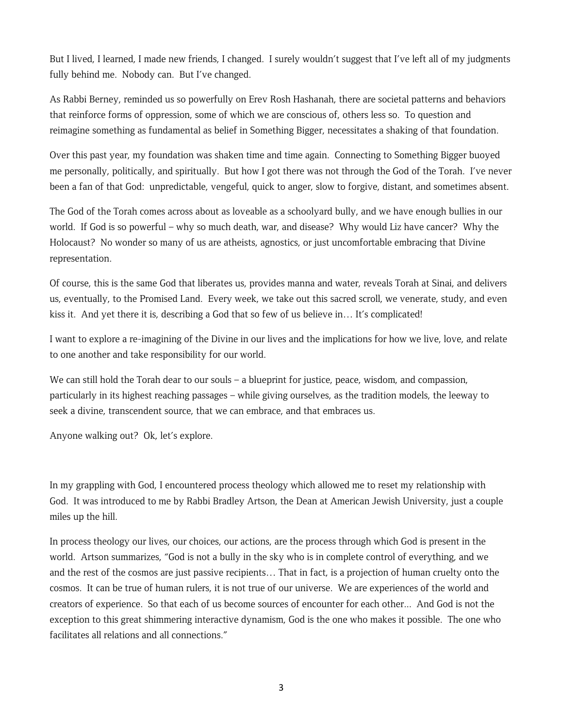But I lived, I learned, I made new friends, I changed. I surely wouldn't suggest that I've left all of my judgments fully behind me. Nobody can. But I've changed.

As Rabbi Berney, reminded us so powerfully on Erev Rosh Hashanah, there are societal patterns and behaviors that reinforce forms of oppression, some of which we are conscious of, others less so. To question and reimagine something as fundamental as belief in Something Bigger, necessitates a shaking of that foundation.

Over this past year, my foundation was shaken time and time again. Connecting to Something Bigger buoyed me personally, politically, and spiritually. But how I got there was not through the God of the Torah. I've never been a fan of that God: unpredictable, vengeful, quick to anger, slow to forgive, distant, and sometimes absent.

The God of the Torah comes across about as loveable as a schoolyard bully, and we have enough bullies in our world. If God is so powerful – why so much death, war, and disease? Why would Liz have cancer? Why the Holocaust? No wonder so many of us are atheists, agnostics, or just uncomfortable embracing that Divine representation.

Of course, this is the same God that liberates us, provides manna and water, reveals Torah at Sinai, and delivers us, eventually, to the Promised Land. Every week, we take out this sacred scroll, we venerate, study, and even kiss it. And yet there it is, describing a God that so few of us believe in… It's complicated!

I want to explore a re-imagining of the Divine in our lives and the implications for how we live, love, and relate to one another and take responsibility for our world.

We can still hold the Torah dear to our souls – a blueprint for justice, peace, wisdom, and compassion, particularly in its highest reaching passages – while giving ourselves, as the tradition models, the leeway to seek a divine, transcendent source, that we can embrace, and that embraces us.

Anyone walking out? Ok, let's explore.

In my grappling with God, I encountered process theology which allowed me to reset my relationship with God. It was introduced to me by Rabbi Bradley Artson, the Dean at American Jewish University, just a couple miles up the hill.

In process theology our lives, our choices, our actions, are the process through which God is present in the world. Artson summarizes, "God is not a bully in the sky who is in complete control of everything, and we and the rest of the cosmos are just passive recipients… That in fact, is a projection of human cruelty onto the cosmos. It can be true of human rulers, it is not true of our universe. We are experiences of the world and creators of experience. So that each of us become sources of encounter for each other... And God is not the exception to this great shimmering interactive dynamism, God is the one who makes it possible. The one who facilitates all relations and all connections."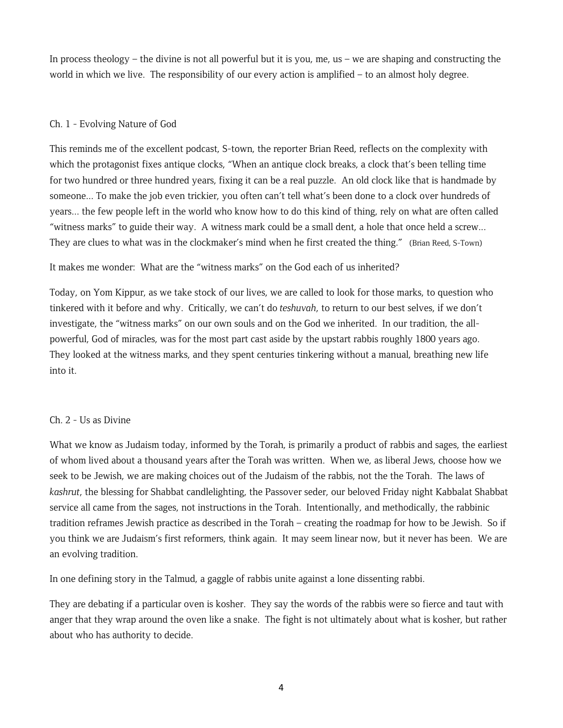In process theology – the divine is not all powerful but it is you, me, us – we are shaping and constructing the world in which we live. The responsibility of our every action is amplified – to an almost holy degree.

# Ch. 1 - Evolving Nature of God

This reminds me of the excellent podcast, S-town, the reporter Brian Reed, reflects on the complexity with which the protagonist fixes antique clocks, "When an antique clock breaks, a clock that's been telling time for two hundred or three hundred years, fixing it can be a real puzzle. An old clock like that is handmade by someone... To make the job even trickier, you often can't tell what's been done to a clock over hundreds of years... the few people left in the world who know how to do this kind of thing, rely on what are often called "witness marks" to guide their way. A witness mark could be a small dent, a hole that once held a screw... They are clues to what was in the clockmaker's mind when he first created the thing." (Brian Reed, S-Town)

## It makes me wonder: What are the "witness marks" on the God each of us inherited?

Today, on Yom Kippur, as we take stock of our lives, we are called to look for those marks, to question who tinkered with it before and why. Critically, we can't do *teshuvah*, to return to our best selves, if we don't investigate, the "witness marks" on our own souls and on the God we inherited. In our tradition, the allpowerful, God of miracles, was for the most part cast aside by the upstart rabbis roughly 1800 years ago. They looked at the witness marks, and they spent centuries tinkering without a manual, breathing new life into it.

## Ch. 2 - Us as Divine

What we know as Judaism today, informed by the Torah, is primarily a product of rabbis and sages, the earliest of whom lived about a thousand years after the Torah was written. When we, as liberal Jews, choose how we seek to be Jewish, we are making choices out of the Judaism of the rabbis, not the the Torah. The laws of *kashrut*, the blessing for Shabbat candlelighting, the Passover seder, our beloved Friday night Kabbalat Shabbat service all came from the sages, not instructions in the Torah. Intentionally, and methodically, the rabbinic tradition reframes Jewish practice as described in the Torah – creating the roadmap for how to be Jewish. So if you think we are Judaism's first reformers, think again. It may seem linear now, but it never has been. We are an evolving tradition.

In one defining story in the Talmud, a gaggle of rabbis unite against a lone dissenting rabbi.

They are debating if a particular oven is kosher. They say the words of the rabbis were so fierce and taut with anger that they wrap around the oven like a snake. The fight is not ultimately about what is kosher, but rather about who has authority to decide.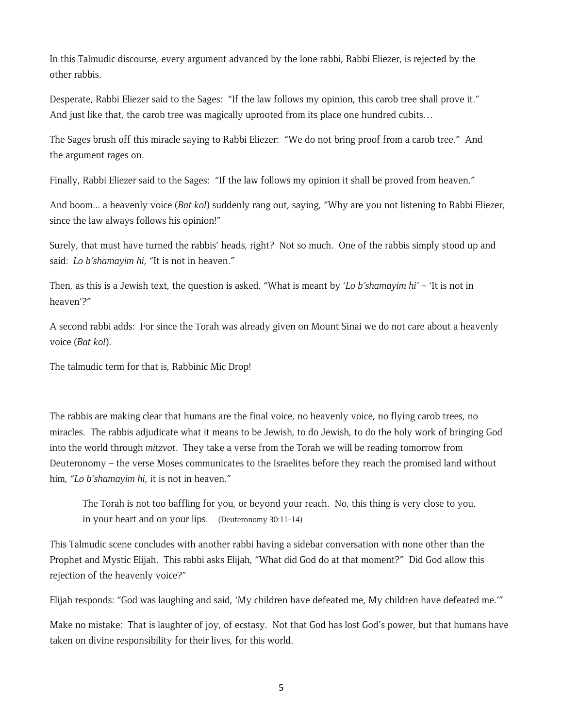In this Talmudic discourse, every argument advanced by the lone rabbi, Rabbi Eliezer, is rejected by the other rabbis.

Desperate, Rabbi Eliezer said to the Sages: "If the law follows my opinion, this carob tree shall prove it." And just like that, the carob tree was magically uprooted from its place one hundred cubits…

The Sages brush off this miracle saying to Rabbi Eliezer: "We do not bring proof from a carob tree." And the argument rages on.

Finally, Rabbi Eliezer said to the Sages: "If the law follows my opinion it shall be proved from heaven."

And boom... a heavenly voice (*Bat kol*) suddenly rang out, saying, "Why are you not listening to Rabbi Eliezer, since the law always follows his opinion!"

Surely, that must have turned the rabbis' heads, right? Not so much. One of the rabbis simply stood up and said: *Lo b'shamayim hi*, "It is not in heaven."

Then, as this is a Jewish text, the question is asked, "What is meant by '*Lo b'shamayim hi'* – 'It is not in heaven'?"

A second rabbi adds: For since the Torah was already given on Mount Sinai we do not care about a heavenly voice (*Bat kol*).

The talmudic term for that is, Rabbinic Mic Drop!

The rabbis are making clear that humans are the final voice, no heavenly voice, no flying carob trees, no miracles. The rabbis adjudicate what it means to be Jewish, to do Jewish, to do the holy work of bringing God into the world through *mitzvot*. They take a verse from the Torah we will be reading tomorrow from Deuteronomy – the verse Moses communicates to the Israelites before they reach the promised land without him, "*Lo b'shamayim hi*, it is not in heaven."

The Torah is not too baffling for you, or beyond your reach. No, this thing is very close to you, in your heart and on your lips. (Deuteronomy 30:11-14)

This Talmudic scene concludes with another rabbi having a sidebar conversation with none other than the Prophet and Mystic Elijah. This rabbi asks Elijah, "What did God do at that moment?" Did God allow this rejection of the heavenly voice?"

Elijah responds: "God was laughing and said, 'My children have defeated me, My children have defeated me.'"

Make no mistake: That is laughter of joy, of ecstasy. Not that God has lost God's power, but that humans have taken on divine responsibility for their lives, for this world.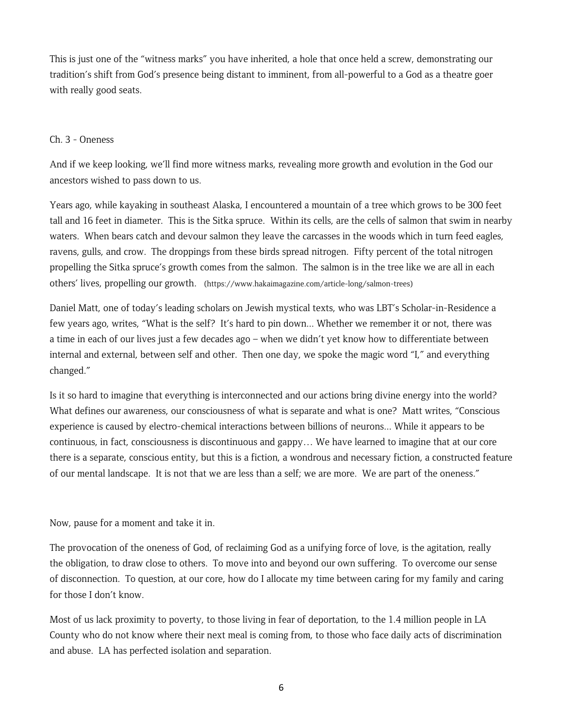This is just one of the "witness marks" you have inherited, a hole that once held a screw, demonstrating our tradition's shift from God's presence being distant to imminent, from all-powerful to a God as a theatre goer with really good seats.

#### Ch. 3 - Oneness

And if we keep looking, we'll find more witness marks, revealing more growth and evolution in the God our ancestors wished to pass down to us.

Years ago, while kayaking in southeast Alaska, I encountered a mountain of a tree which grows to be 300 feet tall and 16 feet in diameter. This is the Sitka spruce. Within its cells, are the cells of salmon that swim in nearby waters. When bears catch and devour salmon they leave the carcasses in the woods which in turn feed eagles, ravens, gulls, and crow. The droppings from these birds spread nitrogen. Fifty percent of the total nitrogen propelling the Sitka spruce's growth comes from the salmon. The salmon is in the tree like we are all in each others' lives, propelling our growth. (https://www.hakaimagazine.com/article-long/salmon-trees)

Daniel Matt, one of today's leading scholars on Jewish mystical texts, who was LBT's Scholar-in-Residence a few years ago, writes, "What is the self? It's hard to pin down... Whether we remember it or not, there was a time in each of our lives just a few decades ago – when we didn't yet know how to differentiate between internal and external, between self and other. Then one day, we spoke the magic word "I," and everything changed."

Is it so hard to imagine that everything is interconnected and our actions bring divine energy into the world? What defines our awareness, our consciousness of what is separate and what is one? Matt writes, "Conscious experience is caused by electro-chemical interactions between billions of neurons... While it appears to be continuous, in fact, consciousness is discontinuous and gappy… We have learned to imagine that at our core there is a separate, conscious entity, but this is a fiction, a wondrous and necessary fiction, a constructed feature of our mental landscape. It is not that we are less than a self; we are more. We are part of the oneness."

Now, pause for a moment and take it in.

The provocation of the oneness of God, of reclaiming God as a unifying force of love, is the agitation, really the obligation, to draw close to others. To move into and beyond our own suffering. To overcome our sense of disconnection. To question, at our core, how do I allocate my time between caring for my family and caring for those I don't know.

Most of us lack proximity to poverty, to those living in fear of deportation, to the 1.4 million people in LA County who do not know where their next meal is coming from, to those who face daily acts of discrimination and abuse. LA has perfected isolation and separation.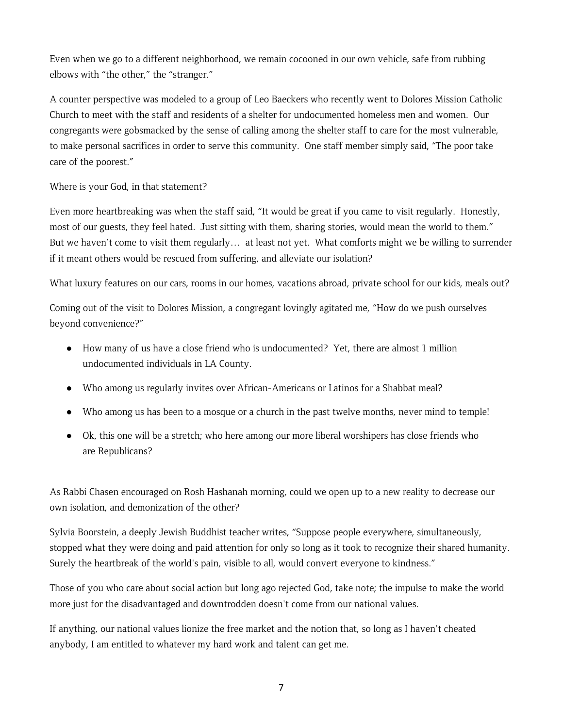Even when we go to a different neighborhood, we remain cocooned in our own vehicle, safe from rubbing elbows with "the other," the "stranger."

A counter perspective was modeled to a group of Leo Baeckers who recently went to Dolores Mission Catholic Church to meet with the staff and residents of a shelter for undocumented homeless men and women. Our congregants were gobsmacked by the sense of calling among the shelter staff to care for the most vulnerable, to make personal sacrifices in order to serve this community. One staff member simply said, "The poor take care of the poorest."

Where is your God, in that statement?

Even more heartbreaking was when the staff said, "It would be great if you came to visit regularly. Honestly, most of our guests, they feel hated. Just sitting with them, sharing stories, would mean the world to them." But we haven't come to visit them regularly… at least not yet. What comforts might we be willing to surrender if it meant others would be rescued from suffering, and alleviate our isolation?

What luxury features on our cars, rooms in our homes, vacations abroad, private school for our kids, meals out?

Coming out of the visit to Dolores Mission, a congregant lovingly agitated me, "How do we push ourselves beyond convenience?"

- How many of us have a close friend who is undocumented? Yet, there are almost 1 million undocumented individuals in LA County.
- Who among us regularly invites over African-Americans or Latinos for a Shabbat meal?
- Who among us has been to a mosque or a church in the past twelve months, never mind to temple!
- Ok, this one will be a stretch; who here among our more liberal worshipers has close friends who are Republicans?

As Rabbi Chasen encouraged on Rosh Hashanah morning, could we open up to a new reality to decrease our own isolation, and demonization of the other?

Sylvia Boorstein, a deeply Jewish Buddhist teacher writes, "Suppose people everywhere, simultaneously, stopped what they were doing and paid attention for only so long as it took to recognize their shared humanity. Surely the heartbreak of the world's pain, visible to all, would convert everyone to kindness."

Those of you who care about social action but long ago rejected God, take note; the impulse to make the world more just for the disadvantaged and downtrodden doesn't come from our national values.

If anything, our national values lionize the free market and the notion that, so long as I haven't cheated anybody, I am entitled to whatever my hard work and talent can get me.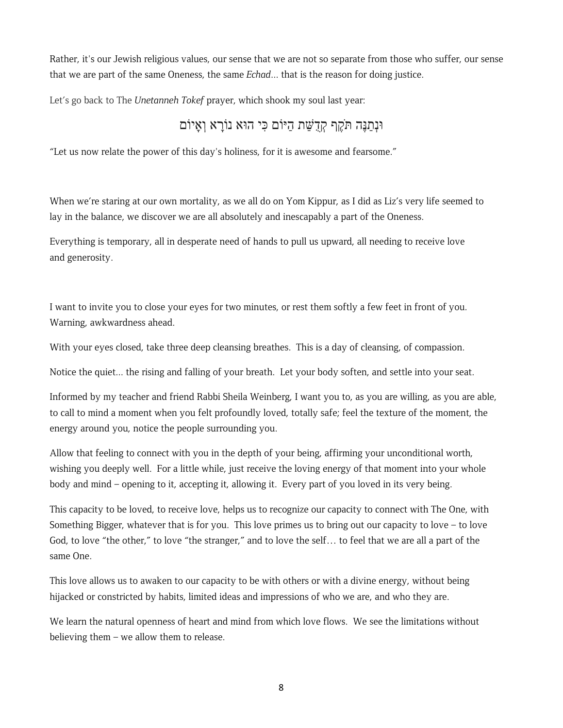Rather, it's our Jewish religious values, our sense that we are not so separate from those who suffer, our sense that we are part of the same Oneness, the same *Echad*... that is the reason for doing justice.

Let's go back to The *Unetanneh Tokef* prayer, which shook my soul last year:

# וּנְ ַתנֶּה תֶֹּקף ְקֻד ַשּׁת ַהיּוֹם ִכּי הוּא ָ נוֹרא ְואָיוֹם

"Let us now relate the power of this day's holiness, for it is awesome and fearsome."

When we're staring at our own mortality, as we all do on Yom Kippur, as I did as Liz's very life seemed to lay in the balance, we discover we are all absolutely and inescapably a part of the Oneness.

Everything is temporary, all in desperate need of hands to pull us upward, all needing to receive love and generosity.

I want to invite you to close your eyes for two minutes, or rest them softly a few feet in front of you. Warning, awkwardness ahead.

With your eyes closed, take three deep cleansing breathes. This is a day of cleansing, of compassion.

Notice the quiet... the rising and falling of your breath. Let your body soften, and settle into your seat.

Informed by my teacher and friend Rabbi Sheila Weinberg, I want you to, as you are willing, as you are able, to call to mind a moment when you felt profoundly loved, totally safe; feel the texture of the moment, the energy around you, notice the people surrounding you.

Allow that feeling to connect with you in the depth of your being, affirming your unconditional worth, wishing you deeply well. For a little while, just receive the loving energy of that moment into your whole body and mind – opening to it, accepting it, allowing it. Every part of you loved in its very being.

This capacity to be loved, to receive love, helps us to recognize our capacity to connect with The One, with Something Bigger, whatever that is for you. This love primes us to bring out our capacity to love – to love God, to love "the other," to love "the stranger," and to love the self… to feel that we are all a part of the same One.

This love allows us to awaken to our capacity to be with others or with a divine energy, without being hijacked or constricted by habits, limited ideas and impressions of who we are, and who they are.

We learn the natural openness of heart and mind from which love flows. We see the limitations without believing them – we allow them to release.